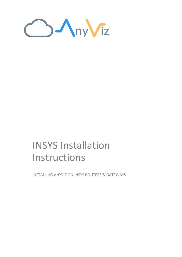

# INSYS Installation Instructions

INSTALLING ANYVIZ ON INSYS ROUTERS & GATEWAYS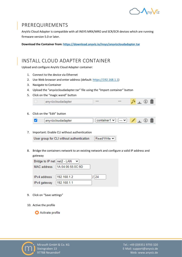

#### PREREQUIREMENTS

AnyViz Cloud Adapter is compatible with all INSYS MRX/MRO and SCR/ECR devices which are running firmware version 5.0 or later.

**Download the Container from[: https://download.anyviz.io/insys/anyvizcloudadapter.tar](https://download.anyviz.io/insys/anyvizcloudadapter.tar)**

## INSTALL CLOUD ADAPTER CONTAINER

Upload and configure AnyViz Cloud Adapter container:

- 1. Connect to the device via Ethernet
- 2. Use Web browser and enter address (default[: https://192.168.1.1\)](https://192.168.1.1/)
- 3. Navigate to Container
- 4. Upload the "anyvizcloudadapter.tar" file using the "Import container" button
- 5. Click on the "magic wand" button

| anyvizcloudadapter | $\cdots$ | --- |  |  | Ш |  |
|--------------------|----------|-----|--|--|---|--|
|--------------------|----------|-----|--|--|---|--|

#### 6. Click on the "Edit" button

|  |  | anvvizcloudadanter |  |  | $\sim$ | $\ddot{\phantom{0}}$ |  |  |  |  |
|--|--|--------------------|--|--|--------|----------------------|--|--|--|--|
|--|--|--------------------|--|--|--------|----------------------|--|--|--|--|

7. Important: Enable CLI without authentication

Read/Write  $\sim$ User group for CLI without authentication

8. Bridge the containers network to an existing network and configure a valid IP address and gateway

| Bridge to IP net   net2 - LAN |                                 |      |
|-------------------------------|---------------------------------|------|
|                               | MAC address   1A:04:06:55:0C:9D |      |
|                               |                                 |      |
| IPv4 address                  | 192.168.1.2                     | 1 24 |
| IPv4 gateway                  | 192.168.1.1                     |      |

- 9. Click on "Save settings"
- 10. Active the profile

Activate profile